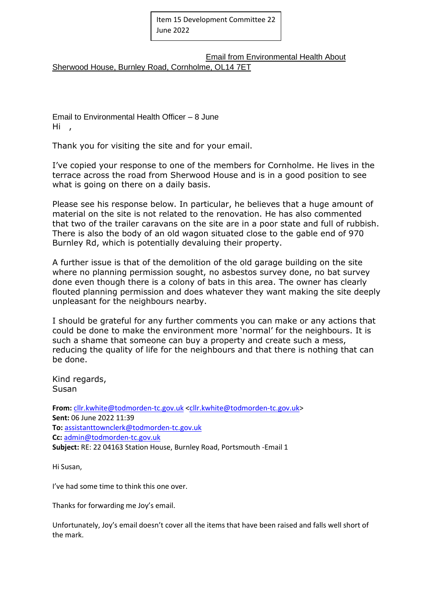Email from Environmental Health About Sherwood House, Burnley Road, Cornholme, OL14 7ET

Email to Environmental Health Officer – 8 June Hi ,

Thank you for visiting the site and for your email.

I've copied your response to one of the members for Cornholme. He lives in the terrace across the road from Sherwood House and is in a good position to see what is going on there on a daily basis.

Please see his response below. In particular, he believes that a huge amount of material on the site is not related to the renovation. He has also commented that two of the trailer caravans on the site are in a poor state and full of rubbish. There is also the body of an old wagon situated close to the gable end of 970 Burnley Rd, which is potentially devaluing their property.

A further issue is that of the demolition of the old garage building on the site where no planning permission sought, no asbestos survey done, no bat survey done even though there is a colony of bats in this area. The owner has clearly flouted planning permission and does whatever they want making the site deeply unpleasant for the neighbours nearby.

I should be grateful for any further comments you can make or any actions that could be done to make the environment more 'normal' for the neighbours. It is such a shame that someone can buy a property and create such a mess, reducing the quality of life for the neighbours and that there is nothing that can be done.

Kind regards, **Susan** 

From: [cllr.kwhite@todmorden-tc.gov.uk](mailto:cllr.kwhite@todmorden-tc.gov.uk) [<cllr.kwhite@todmorden-tc.gov.uk>](mailto:cllr.kwhite@todmorden-tc.gov.uk) **Sent:** 06 June 2022 11:39 **To:** [assistanttownclerk@todmorden-tc.gov.uk](mailto:assistanttownclerk@todmorden-tc.gov.uk) **Cc:** [admin@todmorden-tc.gov.uk](mailto:admin@todmorden-tc.gov.uk) **Subject:** RE: 22 04163 Station House, Burnley Road, Portsmouth -Email 1

Hi Susan,

I've had some time to think this one over.

Thanks for forwarding me Joy's email.

Unfortunately, Joy's email doesn't cover all the items that have been raised and falls well short of the mark.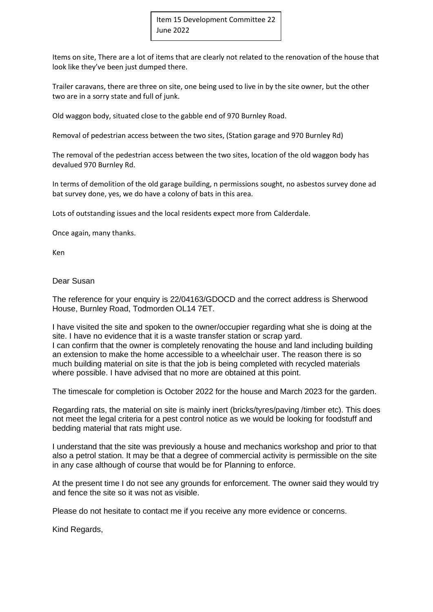Items on site, There are a lot of items that are clearly not related to the renovation of the house that look like they've been just dumped there.

Trailer caravans, there are three on site, one being used to live in by the site owner, but the other two are in a sorry state and full of junk.

Old waggon body, situated close to the gabble end of 970 Burnley Road.

Removal of pedestrian access between the two sites, (Station garage and 970 Burnley Rd)

The removal of the pedestrian access between the two sites, location of the old waggon body has devalued 970 Burnley Rd.

In terms of demolition of the old garage building, n permissions sought, no asbestos survey done ad bat survey done, yes, we do have a colony of bats in this area.

Lots of outstanding issues and the local residents expect more from Calderdale.

Once again, many thanks.

Ken

Dear Susan

The reference for your enquiry is 22/04163/GDOCD and the correct address is Sherwood House, Burnley Road, Todmorden OL14 7ET.

I have visited the site and spoken to the owner/occupier regarding what she is doing at the site. I have no evidence that it is a waste transfer station or scrap yard. I can confirm that the owner is completely renovating the house and land including building an extension to make the home accessible to a wheelchair user. The reason there is so much building material on site is that the job is being completed with recycled materials where possible. I have advised that no more are obtained at this point.

The timescale for completion is October 2022 for the house and March 2023 for the garden.

Regarding rats, the material on site is mainly inert (bricks/tyres/paving /timber etc). This does not meet the legal criteria for a pest control notice as we would be looking for foodstuff and bedding material that rats might use.

I understand that the site was previously a house and mechanics workshop and prior to that also a petrol station. It may be that a degree of commercial activity is permissible on the site in any case although of course that would be for Planning to enforce.

At the present time I do not see any grounds for enforcement. The owner said they would try and fence the site so it was not as visible.

Please do not hesitate to contact me if you receive any more evidence or concerns.

Kind Regards,